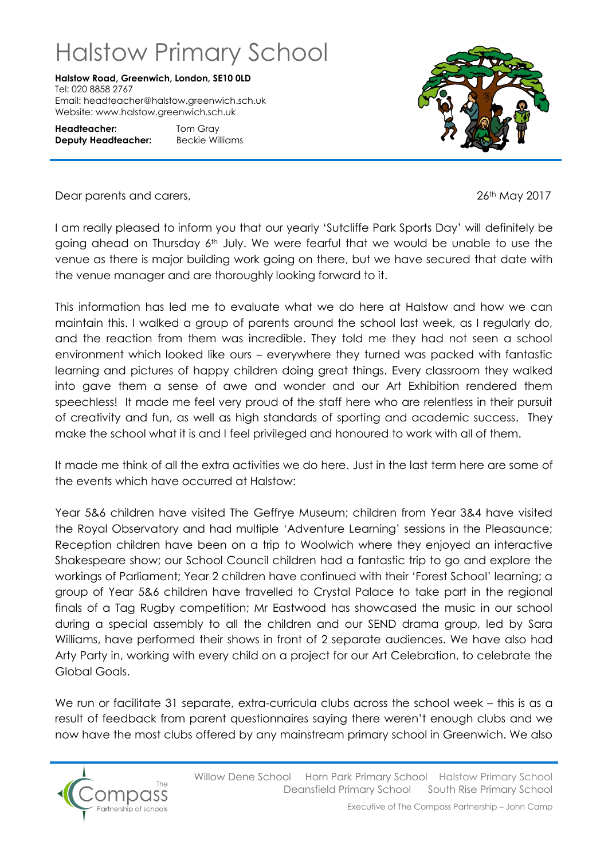## Halstow Primary School

**Halstow Road, Greenwich, London, SE10 0LD** Tel: 020 8858 2767 Email: headteacher@halstow.greenwich.sch.uk Website: www.halstow.greenwich.sch.uk

**Headteacher: Deputy Headteacher:** Tom Gray Beckie Williams



Dear parents and carers, 26th May 2017

I am really pleased to inform you that our yearly 'Sutcliffe Park Sports Day' will definitely be going ahead on Thursday  $6<sup>th</sup>$  July. We were fearful that we would be unable to use the venue as there is major building work going on there, but we have secured that date with the venue manager and are thoroughly looking forward to it.

This information has led me to evaluate what we do here at Halstow and how we can maintain this. I walked a group of parents around the school last week, as I regularly do, and the reaction from them was incredible. They told me they had not seen a school environment which looked like ours – everywhere they turned was packed with fantastic learning and pictures of happy children doing great things. Every classroom they walked into gave them a sense of awe and wonder and our Art Exhibition rendered them speechless! It made me feel very proud of the staff here who are relentless in their pursuit of creativity and fun, as well as high standards of sporting and academic success. They make the school what it is and I feel privileged and honoured to work with all of them.

It made me think of all the extra activities we do here. Just in the last term here are some of the events which have occurred at Halstow:

Year 5&6 children have visited The Geffrye Museum; children from Year 3&4 have visited the Royal Observatory and had multiple 'Adventure Learning' sessions in the Pleasaunce; Reception children have been on a trip to Woolwich where they enjoyed an interactive Shakespeare show; our School Council children had a fantastic trip to go and explore the workings of Parliament; Year 2 children have continued with their 'Forest School' learning; a group of Year 5&6 children have travelled to Crystal Palace to take part in the regional finals of a Tag Rugby competition; Mr Eastwood has showcased the music in our school during a special assembly to all the children and our SEND drama group, led by Sara Williams, have performed their shows in front of 2 separate audiences. We have also had Arty Party in, working with every child on a project for our Art Celebration, to celebrate the Global Goals.

We run or facilitate 31 separate, extra-curricula clubs across the school week – this is as a result of feedback from parent questionnaires saying there weren't enough clubs and we now have the most clubs offered by any mainstream primary school in Greenwich. We also

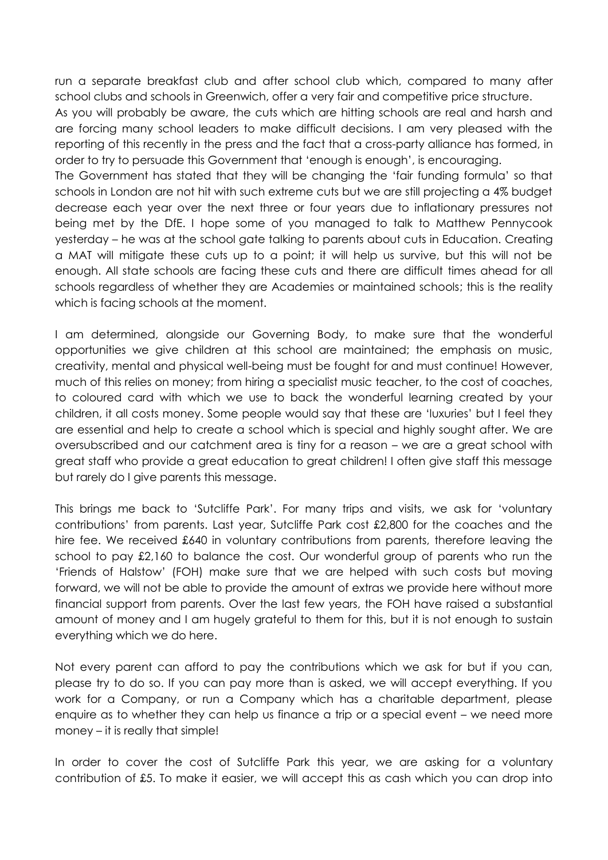run a separate breakfast club and after school club which, compared to many after school clubs and schools in Greenwich, offer a very fair and competitive price structure.

As you will probably be aware, the cuts which are hitting schools are real and harsh and are forcing many school leaders to make difficult decisions. I am very pleased with the reporting of this recently in the press and the fact that a cross-party alliance has formed, in order to try to persuade this Government that 'enough is enough', is encouraging.

The Government has stated that they will be changing the 'fair funding formula' so that schools in London are not hit with such extreme cuts but we are still projecting a 4% budget decrease each year over the next three or four years due to inflationary pressures not being met by the DfE. I hope some of you managed to talk to Matthew Pennycook yesterday – he was at the school gate talking to parents about cuts in Education. Creating a MAT will mitigate these cuts up to a point; it will help us survive, but this will not be enough. All state schools are facing these cuts and there are difficult times ahead for all schools regardless of whether they are Academies or maintained schools; this is the reality which is facing schools at the moment.

I am determined, alongside our Governing Body, to make sure that the wonderful opportunities we give children at this school are maintained; the emphasis on music, creativity, mental and physical well-being must be fought for and must continue! However, much of this relies on money; from hiring a specialist music teacher, to the cost of coaches, to coloured card with which we use to back the wonderful learning created by your children, it all costs money. Some people would say that these are 'luxuries' but I feel they are essential and help to create a school which is special and highly sought after. We are oversubscribed and our catchment area is tiny for a reason – we are a great school with great staff who provide a great education to great children! I often give staff this message but rarely do I give parents this message.

This brings me back to 'Sutcliffe Park'. For many trips and visits, we ask for 'voluntary contributions' from parents. Last year, Sutcliffe Park cost £2,800 for the coaches and the hire fee. We received £640 in voluntary contributions from parents, therefore leaving the school to pay £2,160 to balance the cost. Our wonderful group of parents who run the 'Friends of Halstow' (FOH) make sure that we are helped with such costs but moving forward, we will not be able to provide the amount of extras we provide here without more financial support from parents. Over the last few years, the FOH have raised a substantial amount of money and I am hugely grateful to them for this, but it is not enough to sustain everything which we do here.

Not every parent can afford to pay the contributions which we ask for but if you can, please try to do so. If you can pay more than is asked, we will accept everything. If you work for a Company, or run a Company which has a charitable department, please enquire as to whether they can help us finance a trip or a special event – we need more money – it is really that simple!

In order to cover the cost of Sutcliffe Park this year, we are asking for a voluntary contribution of £5. To make it easier, we will accept this as cash which you can drop into